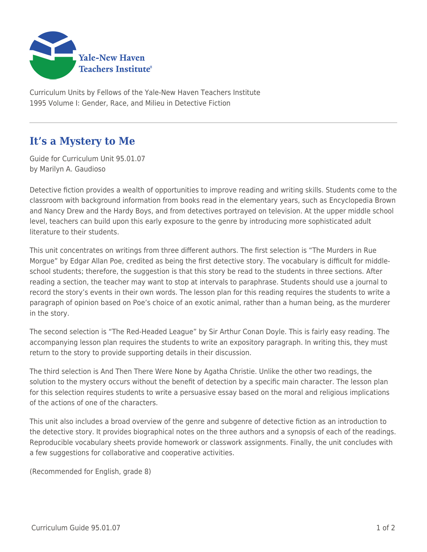

Curriculum Units by Fellows of the Yale-New Haven Teachers Institute 1995 Volume I: Gender, Race, and Milieu in Detective Fiction

## **It's a Mystery to Me**

Guide for Curriculum Unit 95.01.07 by Marilyn A. Gaudioso

Detective fiction provides a wealth of opportunities to improve reading and writing skills. Students come to the classroom with background information from books read in the elementary years, such as Encyclopedia Brown and Nancy Drew and the Hardy Boys, and from detectives portrayed on television. At the upper middle school level, teachers can build upon this early exposure to the genre by introducing more sophisticated adult literature to their students.

This unit concentrates on writings from three different authors. The first selection is "The Murders in Rue Morgue" by Edgar Allan Poe, credited as being the first detective story. The vocabulary is difficult for middleschool students; therefore, the suggestion is that this story be read to the students in three sections. After reading a section, the teacher may want to stop at intervals to paraphrase. Students should use a journal to record the story's events in their own words. The lesson plan for this reading requires the students to write a paragraph of opinion based on Poe's choice of an exotic animal, rather than a human being, as the murderer in the story.

The second selection is "The Red-Headed League" by Sir Arthur Conan Doyle. This is fairly easy reading. The accompanying lesson plan requires the students to write an expository paragraph. In writing this, they must return to the story to provide supporting details in their discussion.

The third selection is And Then There Were None by Agatha Christie. Unlike the other two readings, the solution to the mystery occurs without the benefit of detection by a specific main character. The lesson plan for this selection requires students to write a persuasive essay based on the moral and religious implications of the actions of one of the characters.

This unit also includes a broad overview of the genre and subgenre of detective fiction as an introduction to the detective story. It provides biographical notes on the three authors and a synopsis of each of the readings. Reproducible vocabulary sheets provide homework or classwork assignments. Finally, the unit concludes with a few suggestions for collaborative and cooperative activities.

(Recommended for English, grade 8)